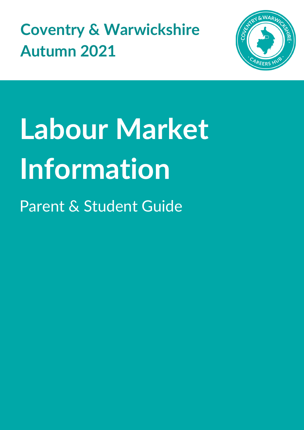**Coventry & Warwickshire Autumn 2021**



# **Labour Market Information**

Parent & Student Guide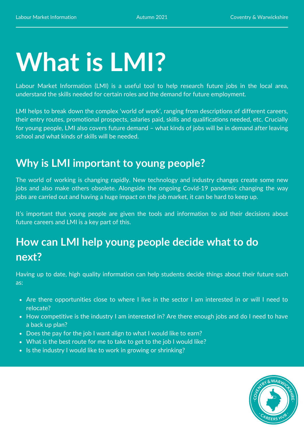## **What is LMI?**

Labour Market Information (LMI) is a useful tool to help research future jobs in the local area, understand the skills needed for certain roles and the demand for future employment.

LMI helps to break down the complex 'world of work', ranging from descriptions of different careers, their entry routes, promotional prospects, salaries paid, skills and qualifications needed, etc. Crucially for young people, LMI also covers future demand – what kinds of jobs will be in demand after leaving school and what kinds of skills will be needed.

#### **Why is LMI important to young people?**

The world of working is changing rapidly. New technology and industry changes create some new jobs and also make others obsolete. Alongside the ongoing Covid-19 pandemic changing the way jobs are carried out and having a huge impact on the job market, it can be hard to keep up.

It's important that young people are given the tools and information to aid their decisions about future careers and LMI is a key part of this.

#### **How can LMI help young people decide what to do next?**

Having up to date, high quality information can help students decide things about their future such as:

- Are there opportunities close to where I live in the sector I am interested in or will I need to relocate?
- How competitive is the industry I am interested in? Are there enough jobs and do I need to have a back up plan?
- Does the pay for the job I want align to what I would like to earn?
- What is the best route for me to take to get to the job I would like?
- Is the industry I would like to work in growing or shrinking?

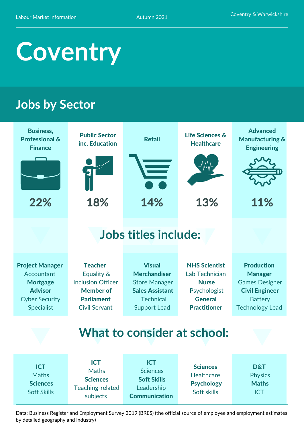### **Coventry**

#### **Jobs by Sector**

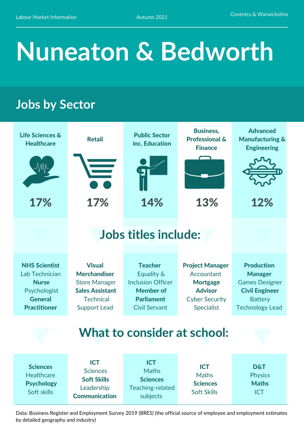### **Nuneaton & Bedworth**

#### **Jobs by Sector**

| <b>Life Sciences &amp;</b><br><b>Healthcare</b><br>17%                                                          | <b>Retail</b><br>17%                                                                                                              | <b>Public Sector</b><br>inc. Education<br>14%                                                                             | <b>Business,</b><br><b>Professional &amp;</b><br><b>Finance</b><br>13%                                                  | <b>Advanced</b><br><b>Manufacturing &amp;</b><br><b>Engineering</b><br>12%                                                        |
|-----------------------------------------------------------------------------------------------------------------|-----------------------------------------------------------------------------------------------------------------------------------|---------------------------------------------------------------------------------------------------------------------------|-------------------------------------------------------------------------------------------------------------------------|-----------------------------------------------------------------------------------------------------------------------------------|
|                                                                                                                 | <b>Jobs titles include:</b>                                                                                                       |                                                                                                                           |                                                                                                                         |                                                                                                                                   |
| <b>NHS Scientist</b><br>Lab Technician<br><b>Nurse</b><br>Psychologist<br><b>General</b><br><b>Practitioner</b> | <b>Visual</b><br><b>Merchandiser</b><br><b>Store Manager</b><br><b>Sales Assistant</b><br><b>Technical</b><br><b>Support Lead</b> | <b>Teacher</b><br>Equality &<br><b>Inclusion Officer</b><br><b>Member of</b><br><b>Parliament</b><br><b>Civil Servant</b> | <b>Project Manager</b><br>Accountant<br><b>Mortgage</b><br><b>Advisor</b><br><b>Cyber Security</b><br><b>Specialist</b> | <b>Production</b><br><b>Manager</b><br><b>Games Designer</b><br><b>Civil Engineer</b><br><b>Battery</b><br><b>Technology Lead</b> |
|                                                                                                                 |                                                                                                                                   | <b>What to consider at school:</b>                                                                                        |                                                                                                                         |                                                                                                                                   |
| <b>Sciences</b><br><b>Healthcare</b><br><b>Psychology</b><br>Soft skills                                        | <b>ICT</b><br><b>Sciences</b><br><b>Soft Skills</b><br>Leadership<br><b>Communication</b>                                         | <b>ICT</b><br><b>Maths</b><br><b>Sciences</b><br>Teaching-related<br>subjects                                             | <b>ICT</b><br><b>Maths</b><br><b>Sciences</b><br><b>Soft Skills</b>                                                     | <b>D&amp;T</b><br><b>Physics</b><br><b>Maths</b><br><b>ICT</b>                                                                    |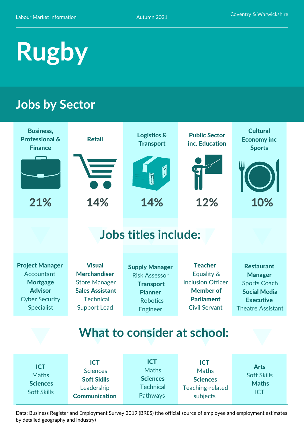### **Rugby**

#### **Jobs by Sector**

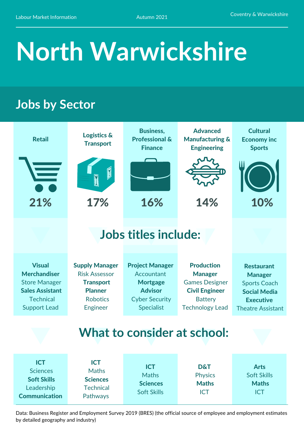## **North Warwickshire**

#### **Jobs by Sector**

| <b>Retail</b>                                                                                                                     | <b>Logistics &amp;</b><br><b>Transport</b>                                                                                | <b>Business,</b><br><b>Professional &amp;</b><br><b>Finance</b>                                                         | <b>Advanced</b><br><b>Manufacturing &amp;</b><br><b>Engineering</b>                                                               | <b>Cultural</b><br><b>Economy inc</b><br><b>Sports</b>                                                                            |  |  |
|-----------------------------------------------------------------------------------------------------------------------------------|---------------------------------------------------------------------------------------------------------------------------|-------------------------------------------------------------------------------------------------------------------------|-----------------------------------------------------------------------------------------------------------------------------------|-----------------------------------------------------------------------------------------------------------------------------------|--|--|
|                                                                                                                                   |                                                                                                                           |                                                                                                                         |                                                                                                                                   |                                                                                                                                   |  |  |
| 21%                                                                                                                               | 17%                                                                                                                       | 16%                                                                                                                     | 14%                                                                                                                               | 10%                                                                                                                               |  |  |
|                                                                                                                                   | <b>Jobs titles include:</b>                                                                                               |                                                                                                                         |                                                                                                                                   |                                                                                                                                   |  |  |
| <b>Visual</b><br><b>Merchandiser</b><br><b>Store Manager</b><br><b>Sales Assistant</b><br><b>Technical</b><br><b>Support Lead</b> | <b>Supply Manager</b><br><b>Risk Assessor</b><br><b>Transport</b><br><b>Planner</b><br><b>Robotics</b><br><b>Engineer</b> | <b>Project Manager</b><br>Accountant<br><b>Mortgage</b><br><b>Advisor</b><br><b>Cyber Security</b><br><b>Specialist</b> | <b>Production</b><br><b>Manager</b><br><b>Games Designer</b><br><b>Civil Engineer</b><br><b>Battery</b><br><b>Technology Lead</b> | <b>Restaurant</b><br><b>Manager</b><br><b>Sports Coach</b><br><b>Social Media</b><br><b>Executive</b><br><b>Theatre Assistant</b> |  |  |
| What to consider at school:                                                                                                       |                                                                                                                           |                                                                                                                         |                                                                                                                                   |                                                                                                                                   |  |  |
| <b>ICT</b><br><b>Sciences</b><br><b>Soft Skills</b><br>Leadership<br><b>Communication</b>                                         | <b>ICT</b><br><b>Maths</b><br><b>Sciences</b><br><b>Technical</b><br>Pathways                                             | <b>ICT</b><br><b>Maths</b><br><b>Sciences</b><br><b>Soft Skills</b>                                                     | <b>D&amp;T</b><br><b>Physics</b><br><b>Maths</b><br><b>ICT</b>                                                                    | <b>Arts</b><br><b>Soft Skills</b><br><b>Maths</b><br><b>ICT</b>                                                                   |  |  |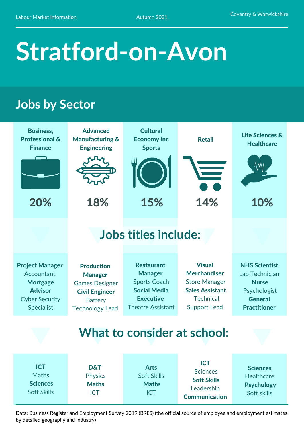### **Stratford-on-Avon**

#### **Jobs by Sector**

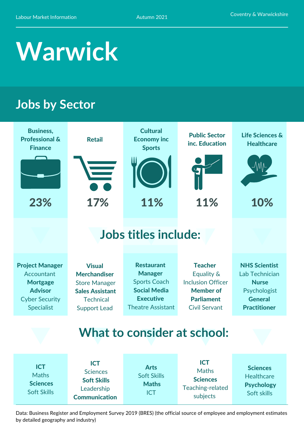### **Warwick**

#### **Jobs by Sector**